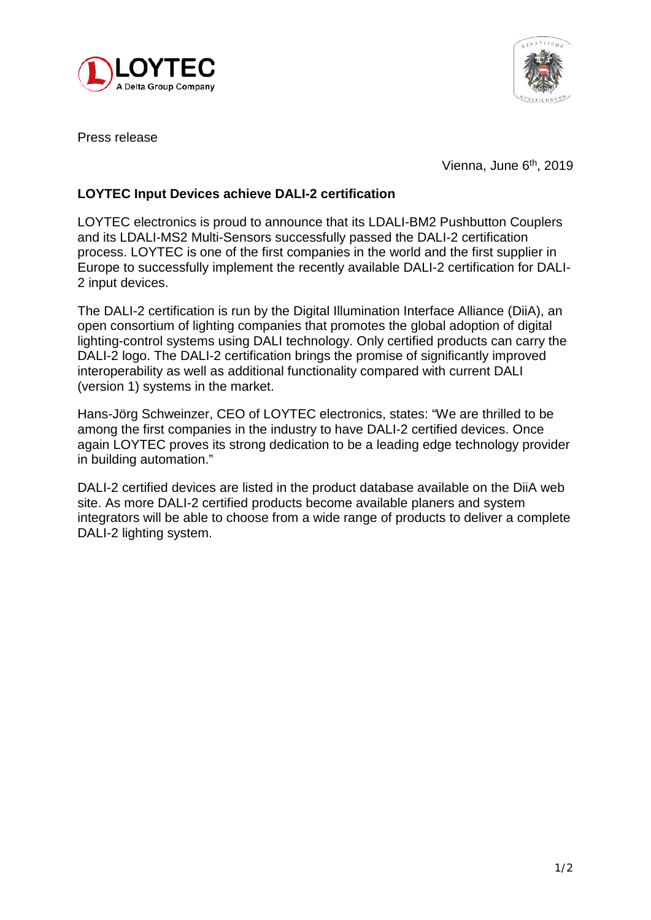



Press release

Vienna, June 6<sup>th</sup>, 2019

## **LOYTEC Input Devices achieve DALI-2 certification**

LOYTEC electronics is proud to announce that its LDALI-BM2 Pushbutton Couplers and its LDALI-MS2 Multi-Sensors successfully passed the DALI-2 certification process. LOYTEC is one of the first companies in the world and the first supplier in Europe to successfully implement the recently available DALI-2 certification for DALI-2 input devices.

The DALI-2 certification is run by the Digital Illumination Interface Alliance (DiiA), an open consortium of lighting companies that promotes the global adoption of digital lighting-control systems using DALI technology. Only certified products can carry the DALI-2 logo. The DALI-2 certification brings the promise of significantly improved interoperability as well as additional functionality compared with current DALI (version 1) systems in the market.

Hans-Jörg Schweinzer, CEO of LOYTEC electronics, states: "We are thrilled to be among the first companies in the industry to have DALI-2 certified devices. Once again LOYTEC proves its strong dedication to be a leading edge technology provider in building automation."

DALI-2 certified devices are listed in the product database available on the DiiA web site. As more DALI-2 certified products become available planers and system integrators will be able to choose from a wide range of products to deliver a complete DALI-2 lighting system.